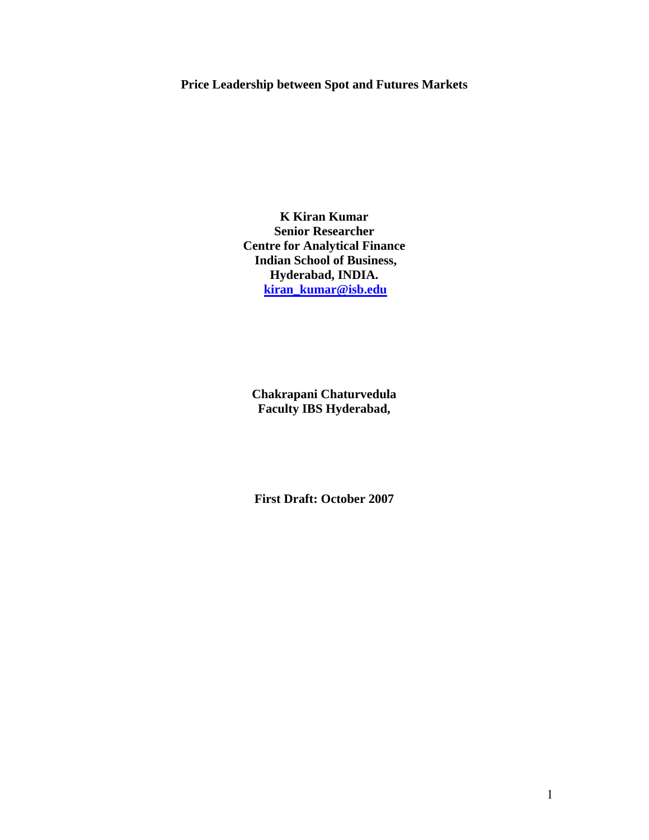# **Price Leadership between Spot and Futures Markets**

**K Kiran Kumar Senior Researcher Centre for Analytical Finance Indian School of Business, Hyderabad, INDIA. kiran\_kumar@isb.edu**

**Chakrapani Chaturvedula Faculty IBS Hyderabad,** 

**First Draft: October 2007**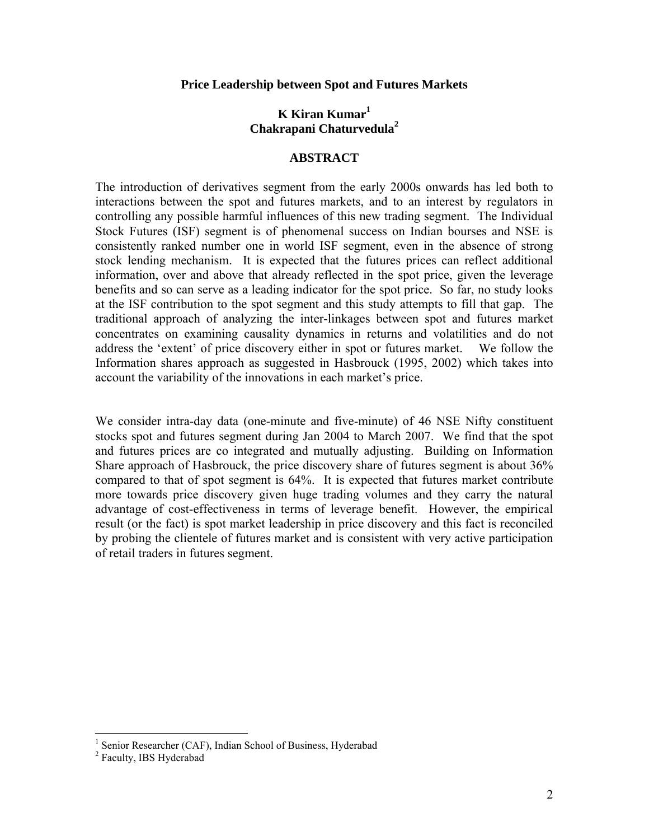### **Price Leadership between Spot and Futures Markets**

# **K Kiran Kumar1 Chakrapani Chaturvedula<sup>2</sup>**

## **ABSTRACT**

The introduction of derivatives segment from the early 2000s onwards has led both to interactions between the spot and futures markets, and to an interest by regulators in controlling any possible harmful influences of this new trading segment. The Individual Stock Futures (ISF) segment is of phenomenal success on Indian bourses and NSE is consistently ranked number one in world ISF segment, even in the absence of strong stock lending mechanism. It is expected that the futures prices can reflect additional information, over and above that already reflected in the spot price, given the leverage benefits and so can serve as a leading indicator for the spot price. So far, no study looks at the ISF contribution to the spot segment and this study attempts to fill that gap. The traditional approach of analyzing the inter-linkages between spot and futures market concentrates on examining causality dynamics in returns and volatilities and do not address the 'extent' of price discovery either in spot or futures market. We follow the Information shares approach as suggested in Hasbrouck (1995, 2002) which takes into account the variability of the innovations in each market's price.

We consider intra-day data (one-minute and five-minute) of 46 NSE Nifty constituent stocks spot and futures segment during Jan 2004 to March 2007. We find that the spot and futures prices are co integrated and mutually adjusting. Building on Information Share approach of Hasbrouck, the price discovery share of futures segment is about 36% compared to that of spot segment is 64%. It is expected that futures market contribute more towards price discovery given huge trading volumes and they carry the natural advantage of cost-effectiveness in terms of leverage benefit. However, the empirical result (or the fact) is spot market leadership in price discovery and this fact is reconciled by probing the clientele of futures market and is consistent with very active participation of retail traders in futures segment.

<sup>&</sup>lt;sup>1</sup> Senior Researcher (CAF), Indian School of Business, Hyderabad

<sup>&</sup>lt;sup>2</sup> Faculty, IBS Hyderabad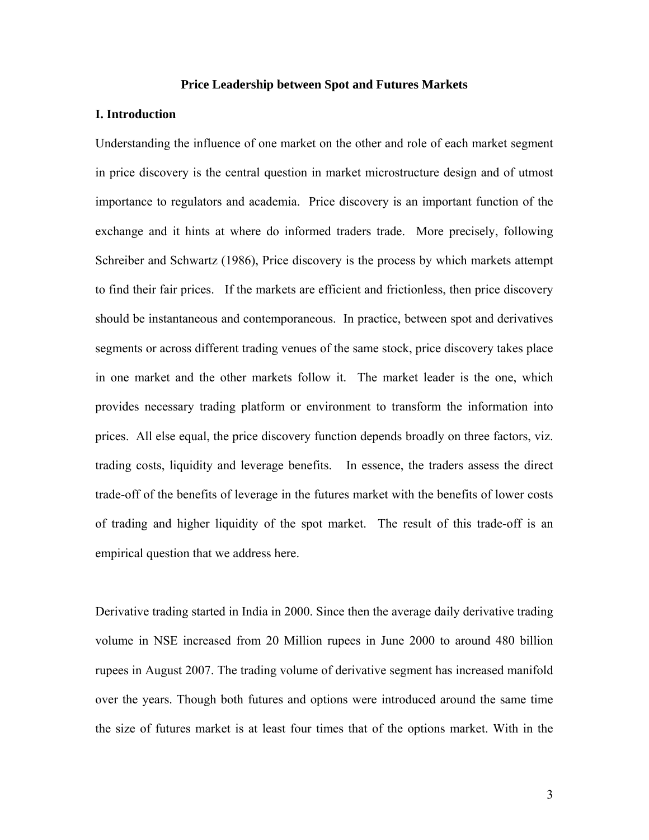### **Price Leadership between Spot and Futures Markets**

### **I. Introduction**

Understanding the influence of one market on the other and role of each market segment in price discovery is the central question in market microstructure design and of utmost importance to regulators and academia. Price discovery is an important function of the exchange and it hints at where do informed traders trade. More precisely, following Schreiber and Schwartz (1986), Price discovery is the process by which markets attempt to find their fair prices. If the markets are efficient and frictionless, then price discovery should be instantaneous and contemporaneous. In practice, between spot and derivatives segments or across different trading venues of the same stock, price discovery takes place in one market and the other markets follow it. The market leader is the one, which provides necessary trading platform or environment to transform the information into prices. All else equal, the price discovery function depends broadly on three factors, viz. trading costs, liquidity and leverage benefits. In essence, the traders assess the direct trade-off of the benefits of leverage in the futures market with the benefits of lower costs of trading and higher liquidity of the spot market. The result of this trade-off is an empirical question that we address here.

Derivative trading started in India in 2000. Since then the average daily derivative trading volume in NSE increased from 20 Million rupees in June 2000 to around 480 billion rupees in August 2007. The trading volume of derivative segment has increased manifold over the years. Though both futures and options were introduced around the same time the size of futures market is at least four times that of the options market. With in the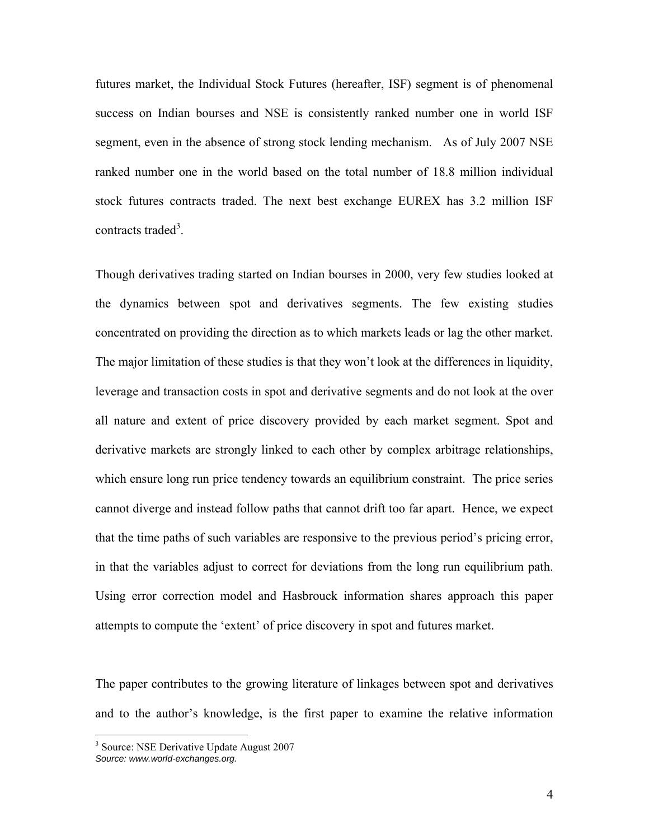futures market, the Individual Stock Futures (hereafter, ISF) segment is of phenomenal success on Indian bourses and NSE is consistently ranked number one in world ISF segment, even in the absence of strong stock lending mechanism. As of July 2007 NSE ranked number one in the world based on the total number of 18.8 million individual stock futures contracts traded. The next best exchange EUREX has 3.2 million ISF contracts traded<sup>3</sup>.

Though derivatives trading started on Indian bourses in 2000, very few studies looked at the dynamics between spot and derivatives segments. The few existing studies concentrated on providing the direction as to which markets leads or lag the other market. The major limitation of these studies is that they won't look at the differences in liquidity, leverage and transaction costs in spot and derivative segments and do not look at the over all nature and extent of price discovery provided by each market segment. Spot and derivative markets are strongly linked to each other by complex arbitrage relationships, which ensure long run price tendency towards an equilibrium constraint. The price series cannot diverge and instead follow paths that cannot drift too far apart. Hence, we expect that the time paths of such variables are responsive to the previous period's pricing error, in that the variables adjust to correct for deviations from the long run equilibrium path. Using error correction model and Hasbrouck information shares approach this paper attempts to compute the 'extent' of price discovery in spot and futures market.

The paper contributes to the growing literature of linkages between spot and derivatives and to the author's knowledge, is the first paper to examine the relative information

 $\overline{a}$ 

<sup>&</sup>lt;sup>3</sup> Source: NSE Derivative Update August 2007 *Source: www.world-exchanges.org.*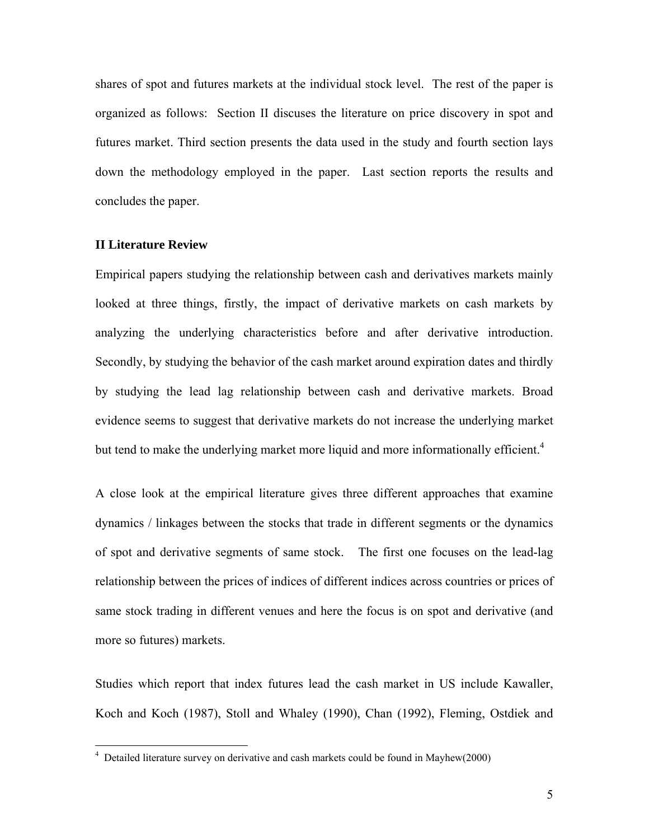shares of spot and futures markets at the individual stock level. The rest of the paper is organized as follows: Section II discuses the literature on price discovery in spot and futures market. Third section presents the data used in the study and fourth section lays down the methodology employed in the paper. Last section reports the results and concludes the paper.

## **II Literature Review**

<u>.</u>

Empirical papers studying the relationship between cash and derivatives markets mainly looked at three things, firstly, the impact of derivative markets on cash markets by analyzing the underlying characteristics before and after derivative introduction. Secondly, by studying the behavior of the cash market around expiration dates and thirdly by studying the lead lag relationship between cash and derivative markets. Broad evidence seems to suggest that derivative markets do not increase the underlying market but tend to make the underlying market more liquid and more informationally efficient.<sup>4</sup>

A close look at the empirical literature gives three different approaches that examine dynamics / linkages between the stocks that trade in different segments or the dynamics of spot and derivative segments of same stock. The first one focuses on the lead-lag relationship between the prices of indices of different indices across countries or prices of same stock trading in different venues and here the focus is on spot and derivative (and more so futures) markets.

Studies which report that index futures lead the cash market in US include Kawaller, Koch and Koch (1987), Stoll and Whaley (1990), Chan (1992), Fleming, Ostdiek and

<sup>&</sup>lt;sup>4</sup> Detailed literature survey on derivative and cash markets could be found in Mayhew(2000)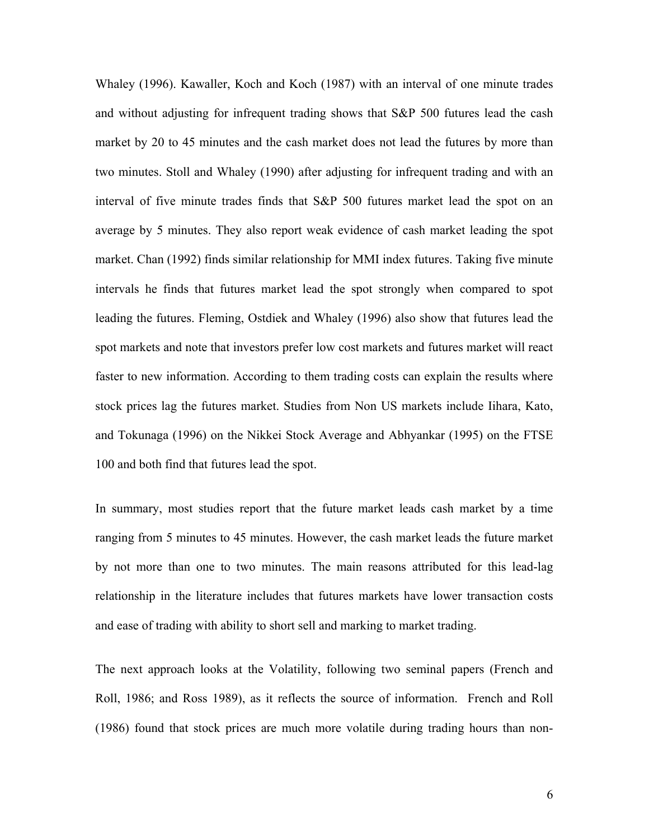Whaley (1996). Kawaller, Koch and Koch (1987) with an interval of one minute trades and without adjusting for infrequent trading shows that S&P 500 futures lead the cash market by 20 to 45 minutes and the cash market does not lead the futures by more than two minutes. Stoll and Whaley (1990) after adjusting for infrequent trading and with an interval of five minute trades finds that S&P 500 futures market lead the spot on an average by 5 minutes. They also report weak evidence of cash market leading the spot market. Chan (1992) finds similar relationship for MMI index futures. Taking five minute intervals he finds that futures market lead the spot strongly when compared to spot leading the futures. Fleming, Ostdiek and Whaley (1996) also show that futures lead the spot markets and note that investors prefer low cost markets and futures market will react faster to new information. According to them trading costs can explain the results where stock prices lag the futures market. Studies from Non US markets include Iihara, Kato, and Tokunaga (1996) on the Nikkei Stock Average and Abhyankar (1995) on the FTSE 100 and both find that futures lead the spot.

In summary, most studies report that the future market leads cash market by a time ranging from 5 minutes to 45 minutes. However, the cash market leads the future market by not more than one to two minutes. The main reasons attributed for this lead-lag relationship in the literature includes that futures markets have lower transaction costs and ease of trading with ability to short sell and marking to market trading.

The next approach looks at the Volatility, following two seminal papers (French and Roll, 1986; and Ross 1989), as it reflects the source of information. French and Roll (1986) found that stock prices are much more volatile during trading hours than non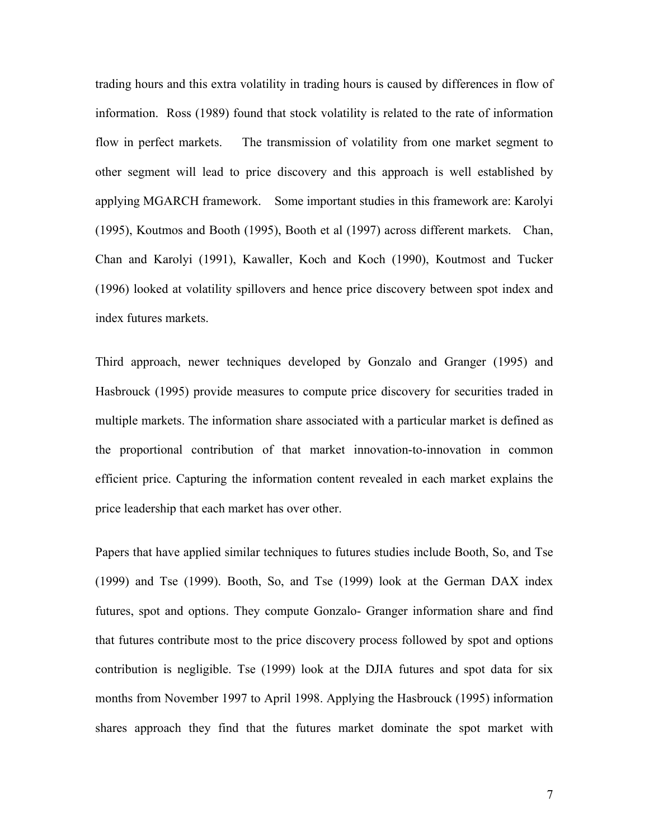trading hours and this extra volatility in trading hours is caused by differences in flow of information. Ross (1989) found that stock volatility is related to the rate of information flow in perfect markets. The transmission of volatility from one market segment to other segment will lead to price discovery and this approach is well established by applying MGARCH framework. Some important studies in this framework are: Karolyi (1995), Koutmos and Booth (1995), Booth et al (1997) across different markets. Chan, Chan and Karolyi (1991), Kawaller, Koch and Koch (1990), Koutmost and Tucker (1996) looked at volatility spillovers and hence price discovery between spot index and index futures markets.

Third approach, newer techniques developed by Gonzalo and Granger (1995) and Hasbrouck (1995) provide measures to compute price discovery for securities traded in multiple markets. The information share associated with a particular market is defined as the proportional contribution of that market innovation-to-innovation in common efficient price. Capturing the information content revealed in each market explains the price leadership that each market has over other.

Papers that have applied similar techniques to futures studies include Booth, So, and Tse (1999) and Tse (1999). Booth, So, and Tse (1999) look at the German DAX index futures, spot and options. They compute Gonzalo- Granger information share and find that futures contribute most to the price discovery process followed by spot and options contribution is negligible. Tse (1999) look at the DJIA futures and spot data for six months from November 1997 to April 1998. Applying the Hasbrouck (1995) information shares approach they find that the futures market dominate the spot market with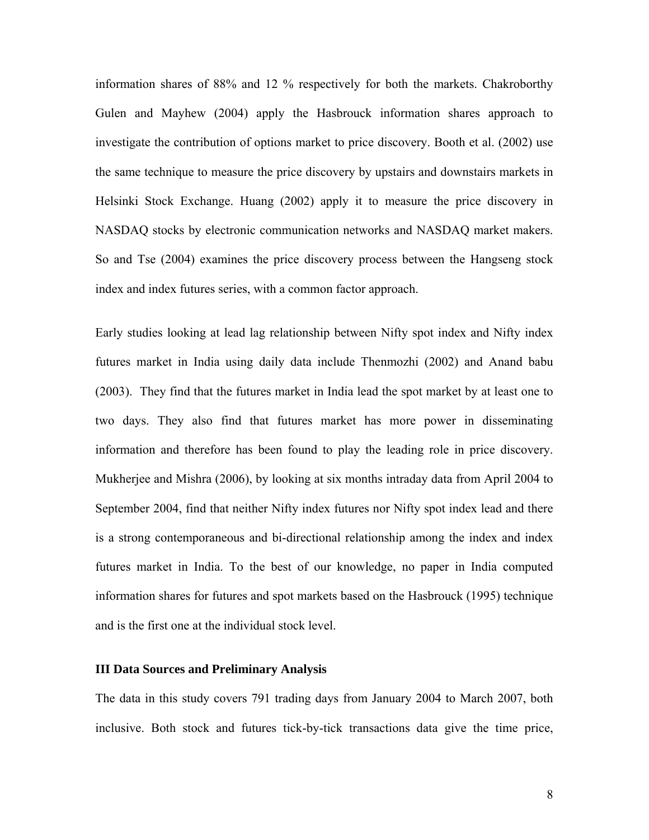information shares of 88% and 12 % respectively for both the markets. Chakroborthy Gulen and Mayhew (2004) apply the Hasbrouck information shares approach to investigate the contribution of options market to price discovery. Booth et al. (2002) use the same technique to measure the price discovery by upstairs and downstairs markets in Helsinki Stock Exchange. Huang (2002) apply it to measure the price discovery in NASDAQ stocks by electronic communication networks and NASDAQ market makers. So and Tse (2004) examines the price discovery process between the Hangseng stock index and index futures series, with a common factor approach.

Early studies looking at lead lag relationship between Nifty spot index and Nifty index futures market in India using daily data include Thenmozhi (2002) and Anand babu (2003). They find that the futures market in India lead the spot market by at least one to two days. They also find that futures market has more power in disseminating information and therefore has been found to play the leading role in price discovery. Mukherjee and Mishra (2006), by looking at six months intraday data from April 2004 to September 2004, find that neither Nifty index futures nor Nifty spot index lead and there is a strong contemporaneous and bi-directional relationship among the index and index futures market in India. To the best of our knowledge, no paper in India computed information shares for futures and spot markets based on the Hasbrouck (1995) technique and is the first one at the individual stock level.

## **III Data Sources and Preliminary Analysis**

The data in this study covers 791 trading days from January 2004 to March 2007, both inclusive. Both stock and futures tick-by-tick transactions data give the time price,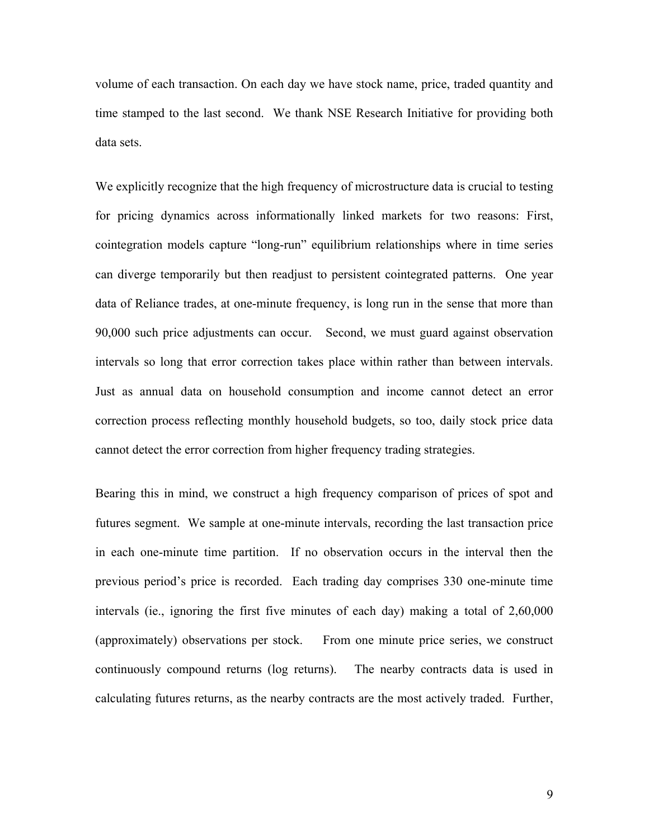volume of each transaction. On each day we have stock name, price, traded quantity and time stamped to the last second. We thank NSE Research Initiative for providing both data sets.

We explicitly recognize that the high frequency of microstructure data is crucial to testing for pricing dynamics across informationally linked markets for two reasons: First, cointegration models capture "long-run" equilibrium relationships where in time series can diverge temporarily but then readjust to persistent cointegrated patterns. One year data of Reliance trades, at one-minute frequency, is long run in the sense that more than 90,000 such price adjustments can occur. Second, we must guard against observation intervals so long that error correction takes place within rather than between intervals. Just as annual data on household consumption and income cannot detect an error correction process reflecting monthly household budgets, so too, daily stock price data cannot detect the error correction from higher frequency trading strategies.

Bearing this in mind, we construct a high frequency comparison of prices of spot and futures segment. We sample at one-minute intervals, recording the last transaction price in each one-minute time partition. If no observation occurs in the interval then the previous period's price is recorded. Each trading day comprises 330 one-minute time intervals (ie., ignoring the first five minutes of each day) making a total of 2,60,000 (approximately) observations per stock. From one minute price series, we construct continuously compound returns (log returns). The nearby contracts data is used in calculating futures returns, as the nearby contracts are the most actively traded. Further,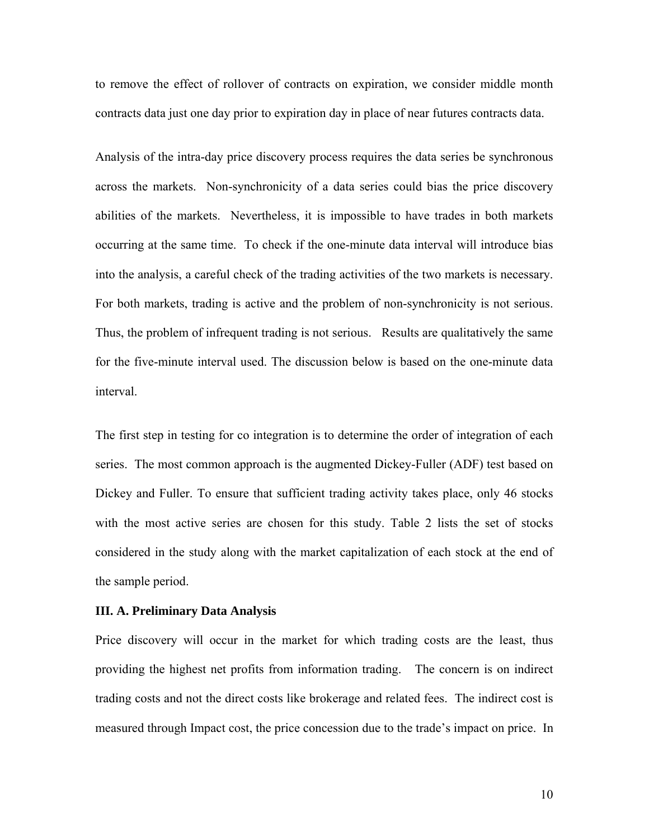to remove the effect of rollover of contracts on expiration, we consider middle month contracts data just one day prior to expiration day in place of near futures contracts data.

Analysis of the intra-day price discovery process requires the data series be synchronous across the markets. Non-synchronicity of a data series could bias the price discovery abilities of the markets. Nevertheless, it is impossible to have trades in both markets occurring at the same time. To check if the one-minute data interval will introduce bias into the analysis, a careful check of the trading activities of the two markets is necessary. For both markets, trading is active and the problem of non-synchronicity is not serious. Thus, the problem of infrequent trading is not serious. Results are qualitatively the same for the five-minute interval used. The discussion below is based on the one-minute data interval.

The first step in testing for co integration is to determine the order of integration of each series. The most common approach is the augmented Dickey-Fuller (ADF) test based on Dickey and Fuller. To ensure that sufficient trading activity takes place, only 46 stocks with the most active series are chosen for this study. Table 2 lists the set of stocks considered in the study along with the market capitalization of each stock at the end of the sample period.

#### **III. A. Preliminary Data Analysis**

Price discovery will occur in the market for which trading costs are the least, thus providing the highest net profits from information trading. The concern is on indirect trading costs and not the direct costs like brokerage and related fees. The indirect cost is measured through Impact cost, the price concession due to the trade's impact on price. In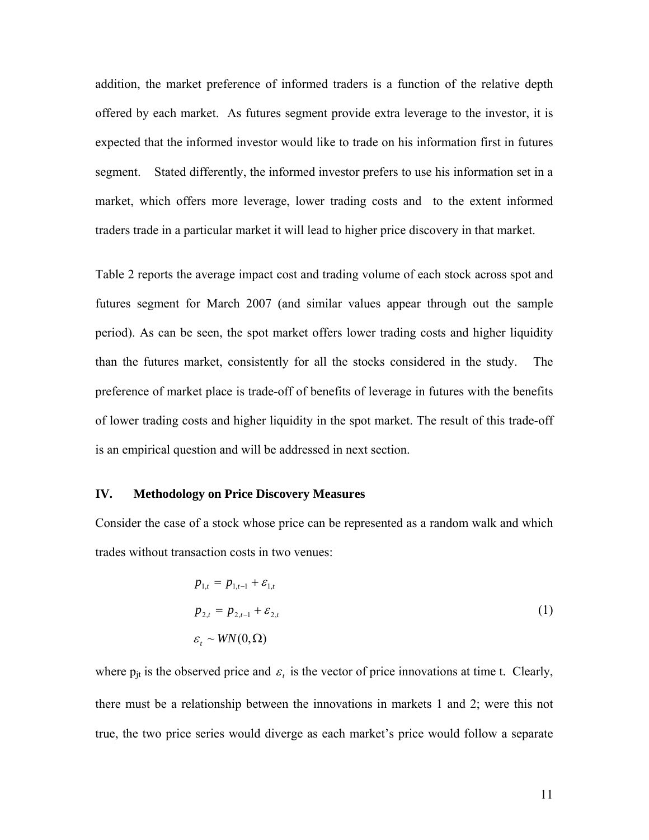addition, the market preference of informed traders is a function of the relative depth offered by each market. As futures segment provide extra leverage to the investor, it is expected that the informed investor would like to trade on his information first in futures segment. Stated differently, the informed investor prefers to use his information set in a market, which offers more leverage, lower trading costs and to the extent informed traders trade in a particular market it will lead to higher price discovery in that market.

Table 2 reports the average impact cost and trading volume of each stock across spot and futures segment for March 2007 (and similar values appear through out the sample period). As can be seen, the spot market offers lower trading costs and higher liquidity than the futures market, consistently for all the stocks considered in the study. The preference of market place is trade-off of benefits of leverage in futures with the benefits of lower trading costs and higher liquidity in the spot market. The result of this trade-off is an empirical question and will be addressed in next section.

### **IV. Methodology on Price Discovery Measures**

Consider the case of a stock whose price can be represented as a random walk and which trades without transaction costs in two venues:

$$
p_{1,t} = p_{1,t-1} + \varepsilon_{1,t}
$$
  
\n
$$
p_{2,t} = p_{2,t-1} + \varepsilon_{2,t}
$$
  
\n
$$
\varepsilon_t \sim \text{WN}(0, \Omega)
$$
 (1)

where  $p_{it}$  is the observed price and  $\varepsilon_t$  is the vector of price innovations at time t. Clearly, there must be a relationship between the innovations in markets 1 and 2; were this not true, the two price series would diverge as each market's price would follow a separate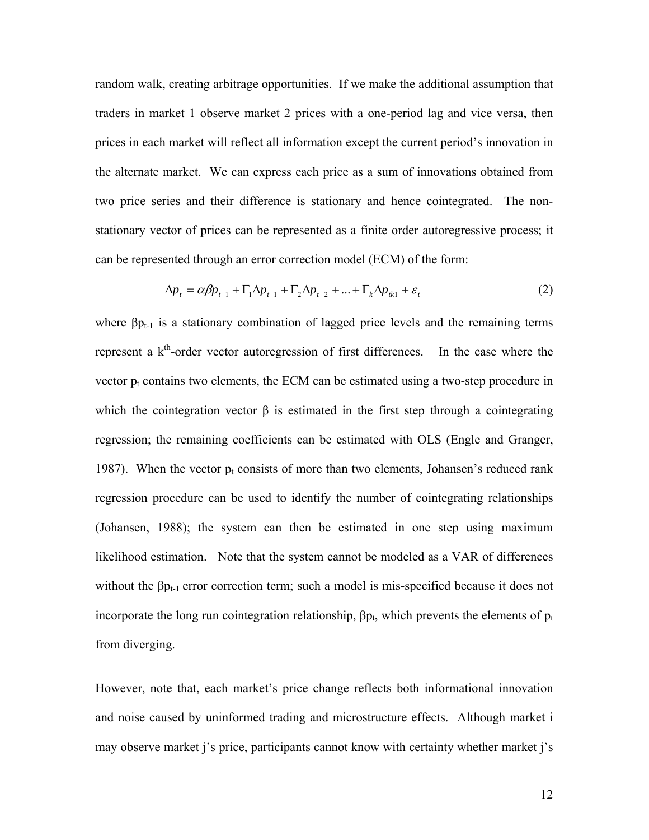random walk, creating arbitrage opportunities. If we make the additional assumption that traders in market 1 observe market 2 prices with a one-period lag and vice versa, then prices in each market will reflect all information except the current period's innovation in the alternate market. We can express each price as a sum of innovations obtained from two price series and their difference is stationary and hence cointegrated. The nonstationary vector of prices can be represented as a finite order autoregressive process; it can be represented through an error correction model (ECM) of the form:

$$
\Delta p_t = \alpha \beta p_{t-1} + \Gamma_1 \Delta p_{t-1} + \Gamma_2 \Delta p_{t-2} + \dots + \Gamma_k \Delta p_{tk1} + \varepsilon_t \tag{2}
$$

where  $\beta p_{t-1}$  is a stationary combination of lagged price levels and the remaining terms represent a  $k<sup>th</sup>$ -order vector autoregression of first differences. In the case where the vector  $p_t$  contains two elements, the ECM can be estimated using a two-step procedure in which the cointegration vector  $\beta$  is estimated in the first step through a cointegrating regression; the remaining coefficients can be estimated with OLS (Engle and Granger, 1987). When the vector  $p_t$  consists of more than two elements, Johansen's reduced rank regression procedure can be used to identify the number of cointegrating relationships (Johansen, 1988); the system can then be estimated in one step using maximum likelihood estimation. Note that the system cannot be modeled as a VAR of differences without the  $\beta p_{t-1}$  error correction term; such a model is mis-specified because it does not incorporate the long run cointegration relationship,  $\beta p_t$ , which prevents the elements of  $p_t$ from diverging.

However, note that, each market's price change reflects both informational innovation and noise caused by uninformed trading and microstructure effects. Although market i may observe market j's price, participants cannot know with certainty whether market j's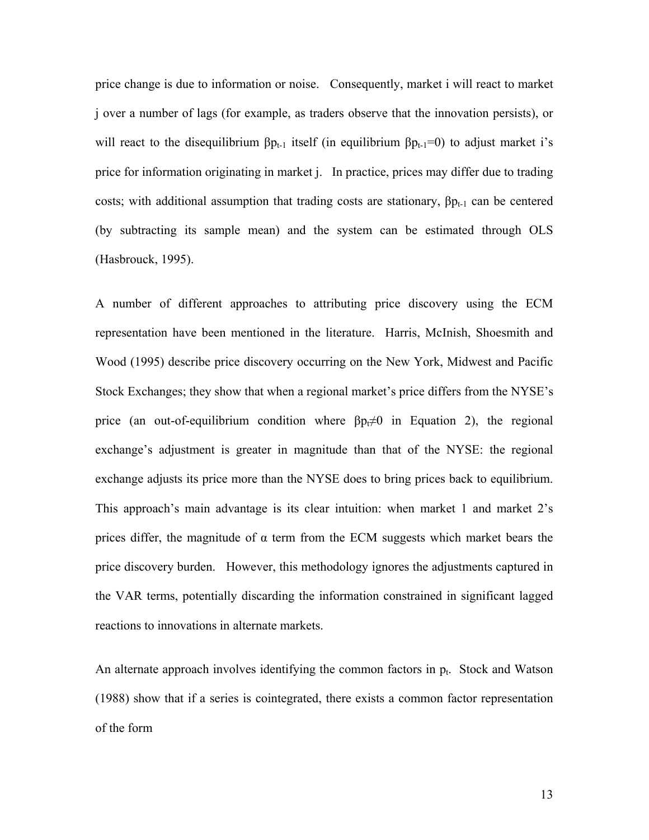price change is due to information or noise. Consequently, market i will react to market j over a number of lags (for example, as traders observe that the innovation persists), or will react to the disequilibrium  $\beta p_{t-1}$  itself (in equilibrium  $\beta p_{t-1} = 0$ ) to adjust market i's price for information originating in market j. In practice, prices may differ due to trading costs; with additional assumption that trading costs are stationary,  $\beta p_{t-1}$  can be centered (by subtracting its sample mean) and the system can be estimated through OLS (Hasbrouck, 1995).

A number of different approaches to attributing price discovery using the ECM representation have been mentioned in the literature. Harris, McInish, Shoesmith and Wood (1995) describe price discovery occurring on the New York, Midwest and Pacific Stock Exchanges; they show that when a regional market's price differs from the NYSE's price (an out-of-equilibrium condition where  $\beta p \neq 0$  in Equation 2), the regional exchange's adjustment is greater in magnitude than that of the NYSE: the regional exchange adjusts its price more than the NYSE does to bring prices back to equilibrium. This approach's main advantage is its clear intuition: when market 1 and market 2's prices differ, the magnitude of  $\alpha$  term from the ECM suggests which market bears the price discovery burden. However, this methodology ignores the adjustments captured in the VAR terms, potentially discarding the information constrained in significant lagged reactions to innovations in alternate markets.

An alternate approach involves identifying the common factors in  $p_t$ . Stock and Watson (1988) show that if a series is cointegrated, there exists a common factor representation of the form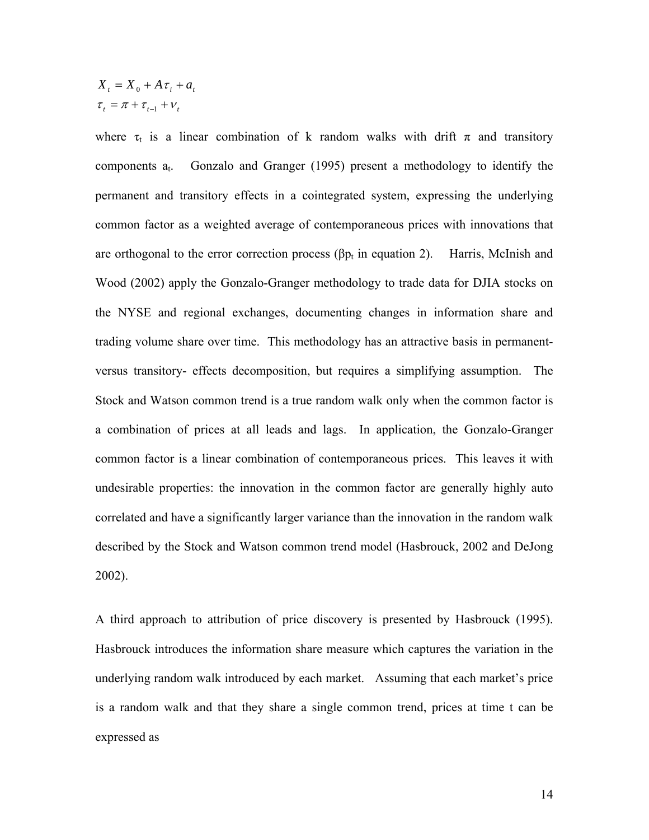$$
X_{t} = X_{0} + A \tau_{i} + a_{t}
$$

$$
\tau_{t} = \pi + \tau_{t-1} + \nu_{t}
$$

where  $\tau_t$  is a linear combination of k random walks with drift  $\pi$  and transitory components  $a_t$ . Gonzalo and Granger (1995) present a methodology to identify the permanent and transitory effects in a cointegrated system, expressing the underlying common factor as a weighted average of contemporaneous prices with innovations that are orthogonal to the error correction process ( $\beta p_t$  in equation 2). Harris, McInish and Wood (2002) apply the Gonzalo-Granger methodology to trade data for DJIA stocks on the NYSE and regional exchanges, documenting changes in information share and trading volume share over time. This methodology has an attractive basis in permanentversus transitory- effects decomposition, but requires a simplifying assumption. The Stock and Watson common trend is a true random walk only when the common factor is a combination of prices at all leads and lags. In application, the Gonzalo-Granger common factor is a linear combination of contemporaneous prices. This leaves it with undesirable properties: the innovation in the common factor are generally highly auto correlated and have a significantly larger variance than the innovation in the random walk described by the Stock and Watson common trend model (Hasbrouck, 2002 and DeJong 2002).

A third approach to attribution of price discovery is presented by Hasbrouck (1995). Hasbrouck introduces the information share measure which captures the variation in the underlying random walk introduced by each market. Assuming that each market's price is a random walk and that they share a single common trend, prices at time t can be expressed as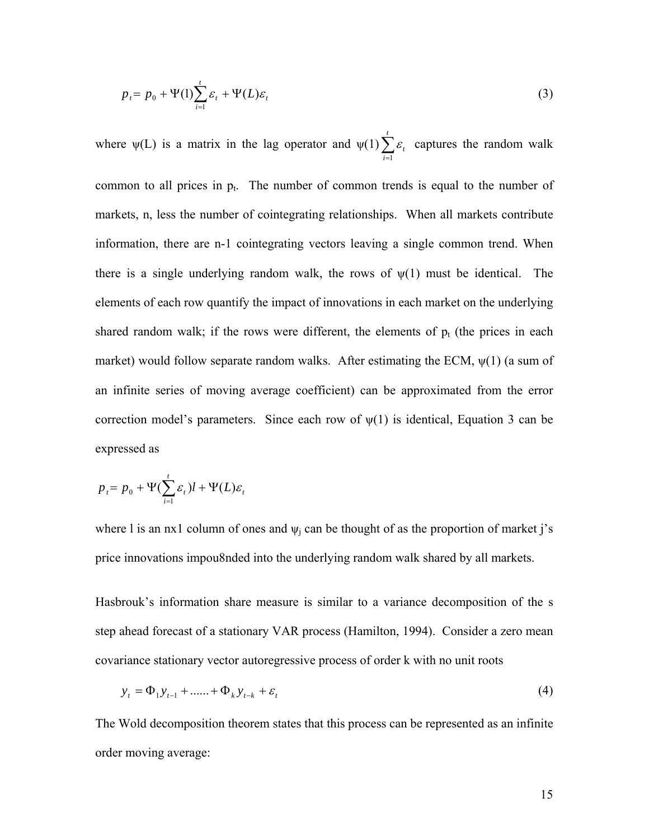$$
p_t = p_0 + \Psi(1) \sum_{i=1}^t \varepsilon_i + \Psi(L)\varepsilon_t \tag{3}
$$

where  $\psi(L)$  is a matrix in the lag operator and  $\psi(1)\sum_{i=1}^{t}$ *i t* 1  $\varepsilon$ , captures the random walk common to all prices in  $p_t$ . The number of common trends is equal to the number of markets, n, less the number of cointegrating relationships. When all markets contribute information, there are n-1 cointegrating vectors leaving a single common trend. When there is a single underlying random walk, the rows of  $\psi(1)$  must be identical. The elements of each row quantify the impact of innovations in each market on the underlying shared random walk; if the rows were different, the elements of  $p_t$  (the prices in each market) would follow separate random walks. After estimating the ECM,  $\psi(1)$  (a sum of an infinite series of moving average coefficient) can be approximated from the error correction model's parameters. Since each row of  $\psi(1)$  is identical, Equation 3 can be expressed as

$$
p_t = p_0 + \Psi(\sum_{i=1}^t \varepsilon_i)l + \Psi(L)\varepsilon_t
$$

where l is an nx1 column of ones and  $\psi_i$  can be thought of as the proportion of market j's price innovations impou8nded into the underlying random walk shared by all markets.

Hasbrouk's information share measure is similar to a variance decomposition of the s step ahead forecast of a stationary VAR process (Hamilton, 1994). Consider a zero mean covariance stationary vector autoregressive process of order k with no unit roots

$$
y_{t} = \Phi_{1} y_{t-1} + \dots + \Phi_{k} y_{t-k} + \varepsilon_{t}
$$
\n(4)

The Wold decomposition theorem states that this process can be represented as an infinite order moving average: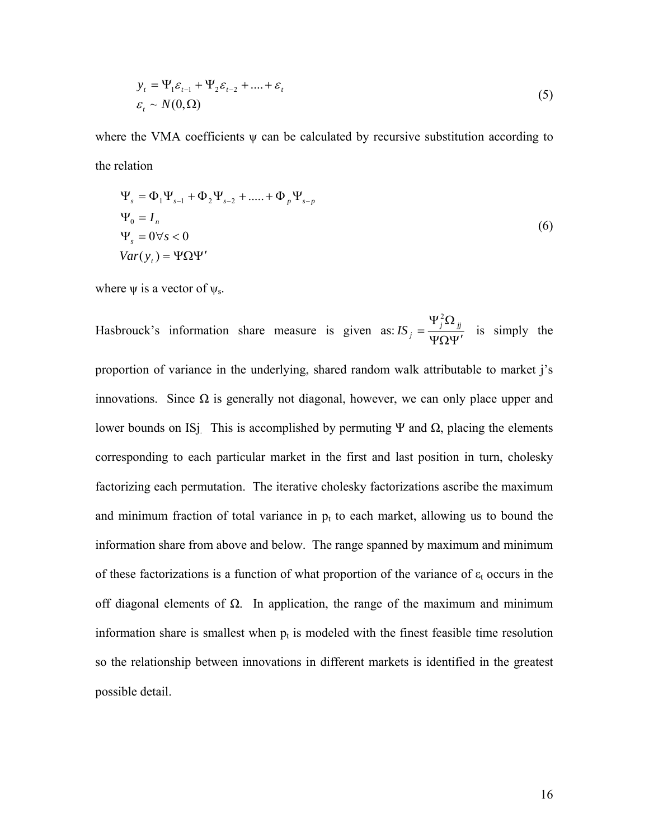$$
y_t = \Psi_1 \varepsilon_{t-1} + \Psi_2 \varepsilon_{t-2} + \dots + \varepsilon_t
$$
  

$$
\varepsilon_t \sim N(0, \Omega)
$$
 (5)

where the VMA coefficients  $\psi$  can be calculated by recursive substitution according to the relation

$$
\Psi_s = \Phi_1 \Psi_{s-1} + \Phi_2 \Psi_{s-2} + \dots + \Phi_p \Psi_{s-p}
$$
  
\n
$$
\Psi_0 = I_n
$$
  
\n
$$
\Psi_s = 0 \forall s < 0
$$
  
\n
$$
Var(y_t) = \Psi \Omega \Psi'
$$
\n(6)

where  $\psi$  is a vector of  $\psi_s$ .

Hasbrouck's information share measure is given as:  $IS_j = \frac{y - y_j}{\Psi \Omega \Psi'}$  $IS_j = \frac{\Psi_j^2 \Omega_{jj}}{\Psi_j^2}$ 2 is simply the proportion of variance in the underlying, shared random walk attributable to market j's innovations. Since Ω is generally not diagonal, however, we can only place upper and lower bounds on IS<sub>J</sub>. This is accomplished by permuting Ψ and  $\Omega$ , placing the elements corresponding to each particular market in the first and last position in turn, cholesky factorizing each permutation. The iterative cholesky factorizations ascribe the maximum and minimum fraction of total variance in  $p_t$  to each market, allowing us to bound the information share from above and below. The range spanned by maximum and minimum of these factorizations is a function of what proportion of the variance of  $\varepsilon_t$  occurs in the off diagonal elements of  $\Omega$ . In application, the range of the maximum and minimum information share is smallest when  $p_t$  is modeled with the finest feasible time resolution so the relationship between innovations in different markets is identified in the greatest possible detail.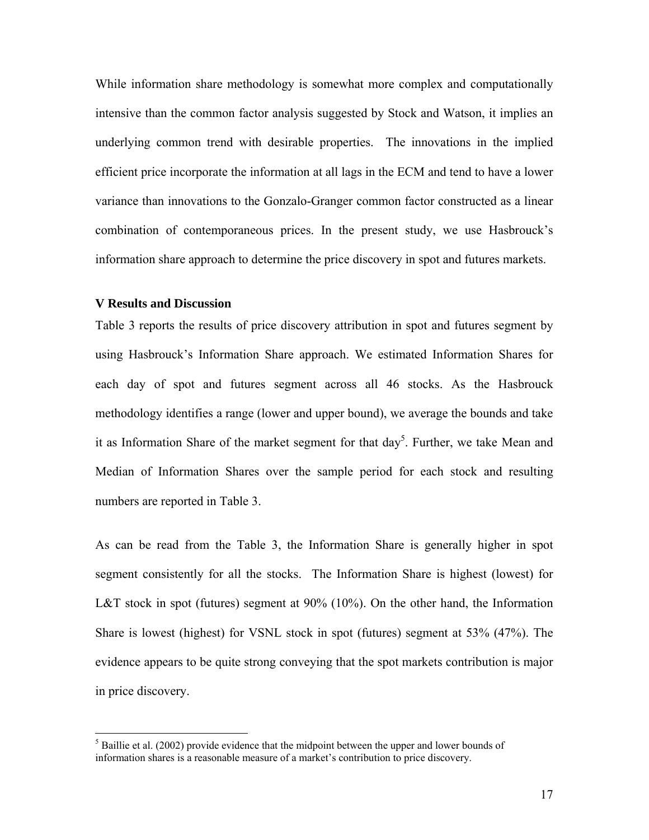While information share methodology is somewhat more complex and computationally intensive than the common factor analysis suggested by Stock and Watson, it implies an underlying common trend with desirable properties. The innovations in the implied efficient price incorporate the information at all lags in the ECM and tend to have a lower variance than innovations to the Gonzalo-Granger common factor constructed as a linear combination of contemporaneous prices. In the present study, we use Hasbrouck's information share approach to determine the price discovery in spot and futures markets.

## **V Results and Discussion**

 $\overline{a}$ 

Table 3 reports the results of price discovery attribution in spot and futures segment by using Hasbrouck's Information Share approach. We estimated Information Shares for each day of spot and futures segment across all 46 stocks. As the Hasbrouck methodology identifies a range (lower and upper bound), we average the bounds and take it as Information Share of the market segment for that  $day^5$ . Further, we take Mean and Median of Information Shares over the sample period for each stock and resulting numbers are reported in Table 3.

As can be read from the Table 3, the Information Share is generally higher in spot segment consistently for all the stocks. The Information Share is highest (lowest) for L&T stock in spot (futures) segment at 90% (10%). On the other hand, the Information Share is lowest (highest) for VSNL stock in spot (futures) segment at 53% (47%). The evidence appears to be quite strong conveying that the spot markets contribution is major in price discovery.

 $<sup>5</sup>$  Baillie et al. (2002) provide evidence that the midpoint between the upper and lower bounds of</sup> information shares is a reasonable measure of a market's contribution to price discovery.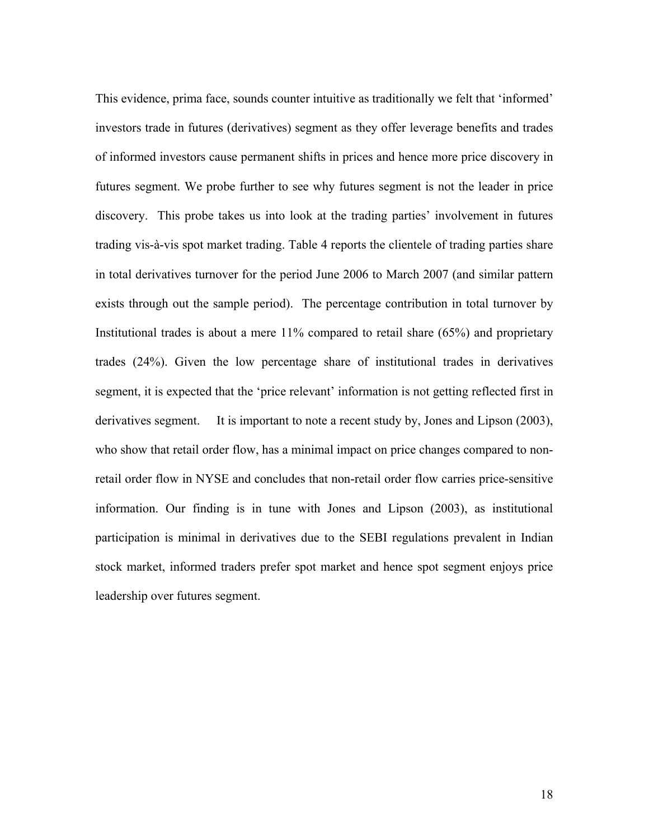This evidence, prima face, sounds counter intuitive as traditionally we felt that 'informed' investors trade in futures (derivatives) segment as they offer leverage benefits and trades of informed investors cause permanent shifts in prices and hence more price discovery in futures segment. We probe further to see why futures segment is not the leader in price discovery. This probe takes us into look at the trading parties' involvement in futures trading vis-à-vis spot market trading. Table 4 reports the clientele of trading parties share in total derivatives turnover for the period June 2006 to March 2007 (and similar pattern exists through out the sample period). The percentage contribution in total turnover by Institutional trades is about a mere 11% compared to retail share (65%) and proprietary trades (24%). Given the low percentage share of institutional trades in derivatives segment, it is expected that the 'price relevant' information is not getting reflected first in derivatives segment. It is important to note a recent study by, Jones and Lipson (2003), who show that retail order flow, has a minimal impact on price changes compared to nonretail order flow in NYSE and concludes that non-retail order flow carries price-sensitive information. Our finding is in tune with Jones and Lipson (2003), as institutional participation is minimal in derivatives due to the SEBI regulations prevalent in Indian stock market, informed traders prefer spot market and hence spot segment enjoys price leadership over futures segment.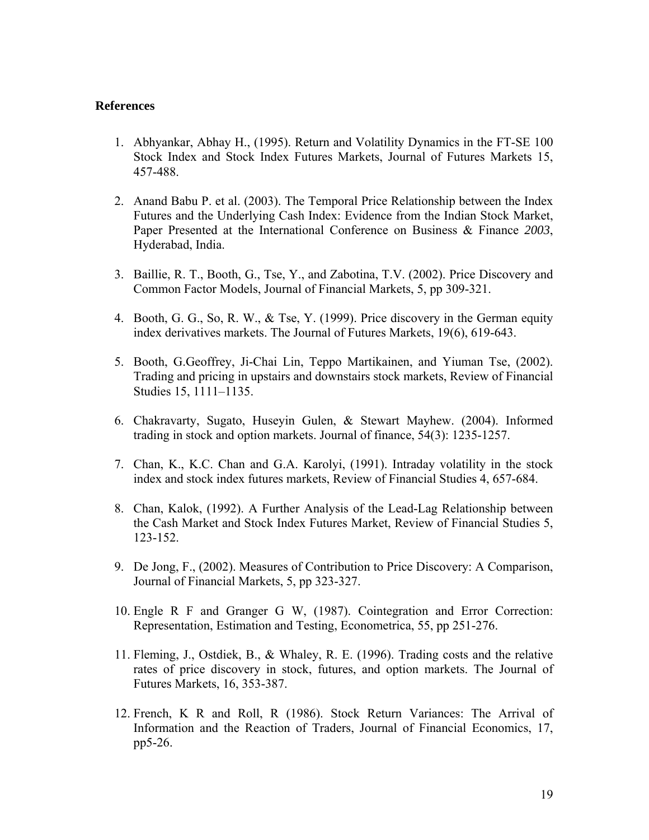## **References**

- 1. Abhyankar, Abhay H., (1995). Return and Volatility Dynamics in the FT-SE 100 Stock Index and Stock Index Futures Markets, Journal of Futures Markets 15, 457-488.
- 2. Anand Babu P. et al. (2003). The Temporal Price Relationship between the Index Futures and the Underlying Cash Index: Evidence from the Indian Stock Market, Paper Presented at the International Conference on Business & Finance *2003*, Hyderabad, India.
- 3. Baillie, R. T., Booth, G., Tse, Y., and Zabotina, T.V. (2002). Price Discovery and Common Factor Models, Journal of Financial Markets, 5, pp 309-321.
- 4. Booth, G. G., So, R. W., & Tse, Y. (1999). Price discovery in the German equity index derivatives markets. The Journal of Futures Markets, 19(6), 619-643.
- 5. Booth, G.Geoffrey, Ji-Chai Lin, Teppo Martikainen, and Yiuman Tse, (2002). Trading and pricing in upstairs and downstairs stock markets, Review of Financial Studies 15, 1111–1135.
- 6. Chakravarty, Sugato, Huseyin Gulen, & Stewart Mayhew. (2004). Informed trading in stock and option markets. Journal of finance, 54(3): 1235-1257.
- 7. Chan, K., K.C. Chan and G.A. Karolyi, (1991). Intraday volatility in the stock index and stock index futures markets, Review of Financial Studies 4, 657-684.
- 8. Chan, Kalok, (1992). A Further Analysis of the Lead-Lag Relationship between the Cash Market and Stock Index Futures Market, Review of Financial Studies 5, 123-152.
- 9. De Jong, F., (2002). Measures of Contribution to Price Discovery: A Comparison, Journal of Financial Markets, 5, pp 323-327.
- 10. Engle R F and Granger G W, (1987). Cointegration and Error Correction: Representation, Estimation and Testing, Econometrica, 55, pp 251-276.
- 11. Fleming, J., Ostdiek, B., & Whaley, R. E. (1996). Trading costs and the relative rates of price discovery in stock, futures, and option markets. The Journal of Futures Markets, 16, 353-387.
- 12. French, K R and Roll, R (1986). Stock Return Variances: The Arrival of Information and the Reaction of Traders, Journal of Financial Economics, 17, pp5-26.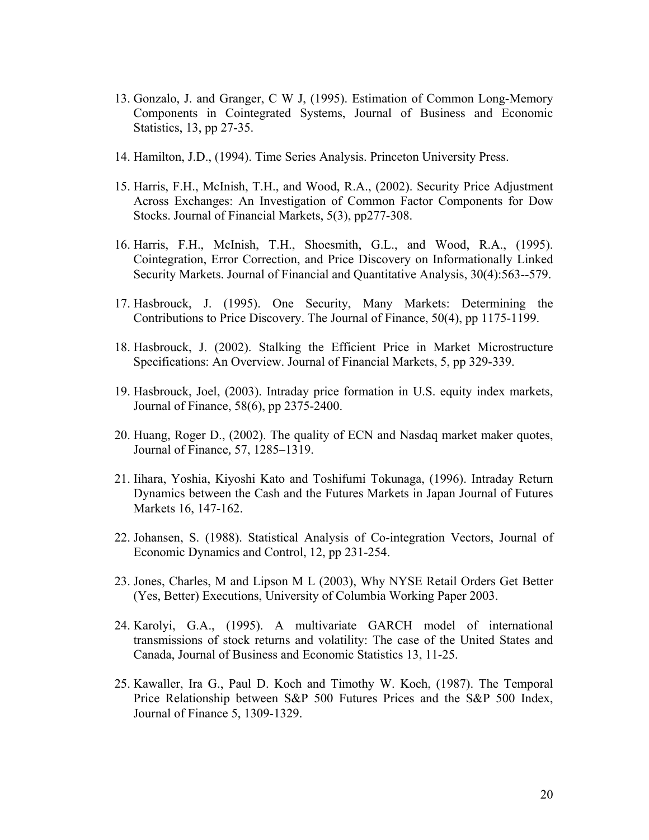- 13. Gonzalo, J. and Granger, C W J, (1995). Estimation of Common Long-Memory Components in Cointegrated Systems, Journal of Business and Economic Statistics, 13, pp 27-35.
- 14. Hamilton, J.D., (1994). Time Series Analysis. Princeton University Press.
- 15. Harris, F.H., McInish, T.H., and Wood, R.A., (2002). Security Price Adjustment Across Exchanges: An Investigation of Common Factor Components for Dow Stocks. Journal of Financial Markets, 5(3), pp277-308.
- 16. Harris, F.H., McInish, T.H., Shoesmith, G.L., and Wood, R.A., (1995). Cointegration, Error Correction, and Price Discovery on Informationally Linked Security Markets. Journal of Financial and Quantitative Analysis, 30(4):563--579.
- 17. Hasbrouck, J. (1995). One Security, Many Markets: Determining the Contributions to Price Discovery. The Journal of Finance, 50(4), pp 1175-1199.
- 18. Hasbrouck, J. (2002). Stalking the Efficient Price in Market Microstructure Specifications: An Overview. Journal of Financial Markets, 5, pp 329-339.
- 19. Hasbrouck, Joel, (2003). Intraday price formation in U.S. equity index markets, Journal of Finance, 58(6), pp 2375-2400.
- 20. Huang, Roger D., (2002). The quality of ECN and Nasdaq market maker quotes, Journal of Finance*,* 57, 1285–1319.
- 21. Iihara, Yoshia, Kiyoshi Kato and Toshifumi Tokunaga, (1996). Intraday Return Dynamics between the Cash and the Futures Markets in Japan Journal of Futures Markets 16, 147-162.
- 22. Johansen, S. (1988). Statistical Analysis of Co-integration Vectors, Journal of Economic Dynamics and Control, 12, pp 231-254.
- 23. Jones, Charles, M and Lipson M L (2003), Why NYSE Retail Orders Get Better (Yes, Better) Executions, University of Columbia Working Paper 2003.
- 24. Karolyi, G.A., (1995). A multivariate GARCH model of international transmissions of stock returns and volatility: The case of the United States and Canada, Journal of Business and Economic Statistics 13, 11-25.
- 25. Kawaller, Ira G., Paul D. Koch and Timothy W. Koch, (1987). The Temporal Price Relationship between S&P 500 Futures Prices and the S&P 500 Index, Journal of Finance 5, 1309-1329.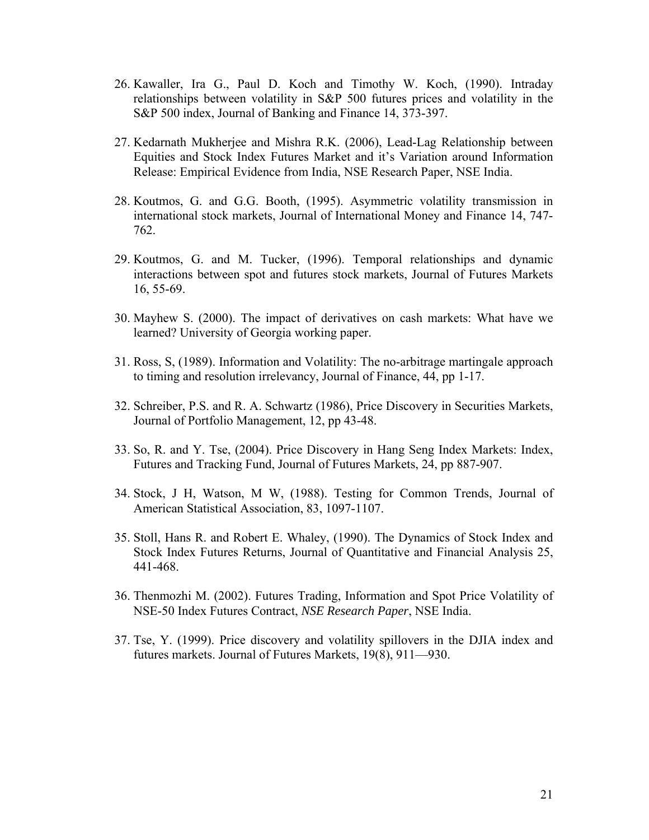- 26. Kawaller, Ira G., Paul D. Koch and Timothy W. Koch, (1990). Intraday relationships between volatility in S&P 500 futures prices and volatility in the S&P 500 index, Journal of Banking and Finance 14, 373-397.
- 27. Kedarnath Mukherjee and Mishra R.K. (2006), Lead-Lag Relationship between Equities and Stock Index Futures Market and it's Variation around Information Release: Empirical Evidence from India, NSE Research Paper, NSE India.
- 28. Koutmos, G. and G.G. Booth, (1995). Asymmetric volatility transmission in international stock markets, Journal of International Money and Finance 14, 747- 762.
- 29. Koutmos, G. and M. Tucker, (1996). Temporal relationships and dynamic interactions between spot and futures stock markets, Journal of Futures Markets 16, 55-69.
- 30. Mayhew S. (2000). The impact of derivatives on cash markets: What have we learned? University of Georgia working paper.
- 31. Ross, S, (1989). Information and Volatility: The no-arbitrage martingale approach to timing and resolution irrelevancy, Journal of Finance, 44, pp 1-17.
- 32. Schreiber, P.S. and R. A. Schwartz (1986), Price Discovery in Securities Markets, Journal of Portfolio Management, 12, pp 43-48.
- 33. So, R. and Y. Tse, (2004). Price Discovery in Hang Seng Index Markets: Index, Futures and Tracking Fund, Journal of Futures Markets, 24, pp 887-907.
- 34. Stock, J H, Watson, M W, (1988). Testing for Common Trends, Journal of American Statistical Association, 83, 1097-1107.
- 35. Stoll, Hans R. and Robert E. Whaley, (1990). The Dynamics of Stock Index and Stock Index Futures Returns, Journal of Quantitative and Financial Analysis 25, 441-468.
- 36. Thenmozhi M. (2002). Futures Trading, Information and Spot Price Volatility of NSE-50 Index Futures Contract, *NSE Research Paper*, NSE India.
- 37. Tse, Y. (1999). Price discovery and volatility spillovers in the DJIA index and futures markets. Journal of Futures Markets, 19(8), 911—930.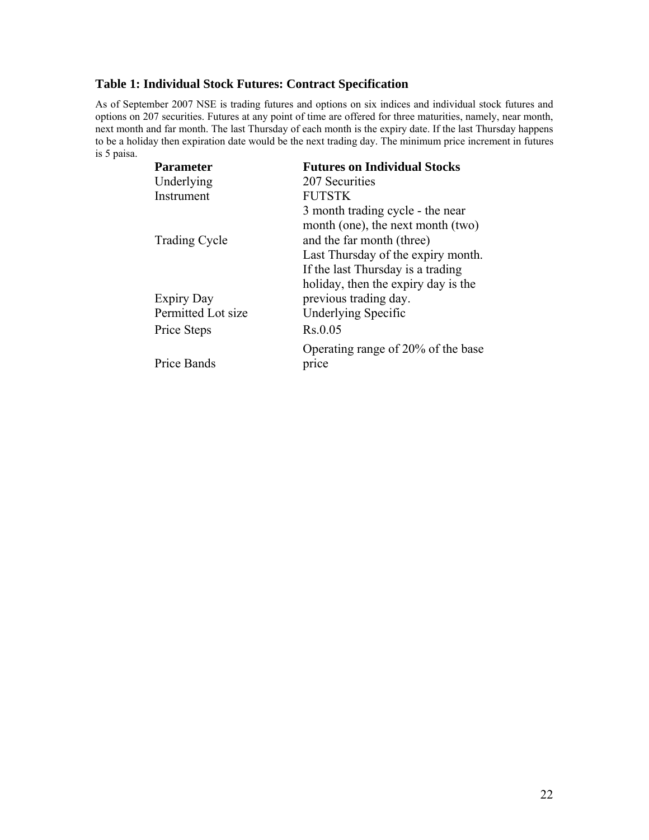# **Table 1: Individual Stock Futures: Contract Specification**

As of September 2007 NSE is trading futures and options on six indices and individual stock futures and options on 207 securities. Futures at any point of time are offered for three maturities, namely, near month, next month and far month. The last Thursday of each month is the expiry date. If the last Thursday happens to be a holiday then expiration date would be the next trading day. The minimum price increment in futures is 5 paisa.

| <b>Parameter</b>     | <b>Futures on Individual Stocks</b> |
|----------------------|-------------------------------------|
| Underlying           | 207 Securities                      |
| Instrument           | <b>FUTSTK</b>                       |
|                      | 3 month trading cycle - the near    |
|                      | month (one), the next month (two)   |
| <b>Trading Cycle</b> | and the far month (three)           |
|                      | Last Thursday of the expiry month.  |
|                      | If the last Thursday is a trading   |
|                      | holiday, then the expiry day is the |
| <b>Expiry Day</b>    | previous trading day.               |
| Permitted Lot size   | Underlying Specific                 |
| Price Steps          | Rs.0.05                             |
|                      | Operating range of 20% of the base  |
| Price Bands          | price                               |
|                      |                                     |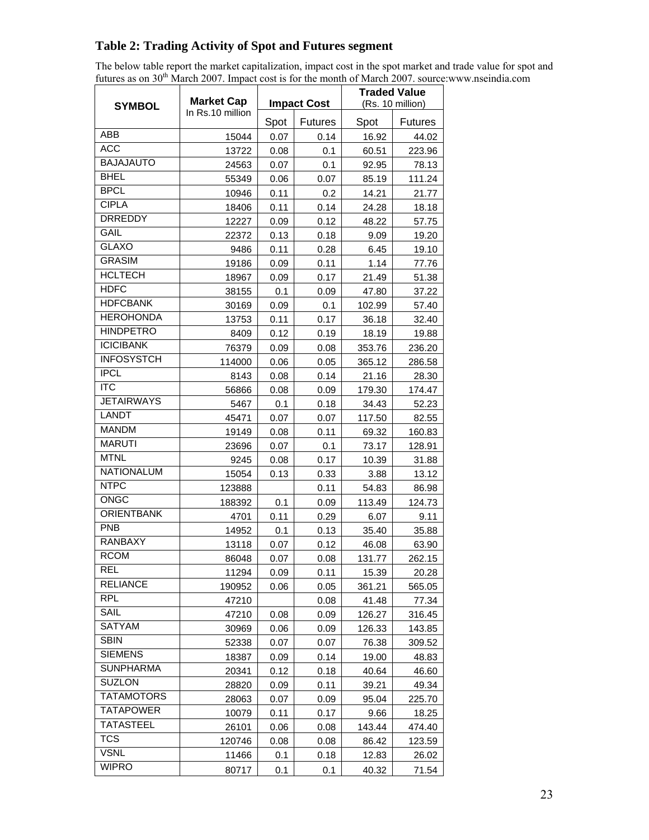# **Table 2: Trading Activity of Spot and Futures segment**

The below table report the market capitalization, impact cost in the spot market and trade value for spot and futures as on 30<sup>th</sup> March 2007. Impact cost is for the month of March 2007. source:www.nseindia.com

|                                      | <b>Market Cap</b><br>In Rs.10 million |      |                    | <b>Traded Value</b> |                |
|--------------------------------------|---------------------------------------|------|--------------------|---------------------|----------------|
| <b>SYMBOL</b>                        |                                       |      | <b>Impact Cost</b> | (Rs. 10 million)    |                |
|                                      |                                       | Spot | <b>Futures</b>     | Spot                | <b>Futures</b> |
| ABB                                  | 15044                                 | 0.07 | 0.14               | 16.92               | 44.02          |
| <b>ACC</b>                           | 13722                                 | 0.08 | 0.1                | 60.51               | 223.96         |
| <b>BAJAJAUTO</b>                     | 24563                                 | 0.07 | 0.1                | 92.95               | 78.13          |
| <b>BHEL</b>                          | 55349                                 | 0.06 | 0.07               | 85.19               | 111.24         |
| <b>BPCL</b>                          | 10946                                 | 0.11 | 0.2                | 14.21               | 21.77          |
| <b>CIPLA</b>                         | 18406                                 | 0.11 | 0.14               | 24.28               | 18.18          |
| <b>DRREDDY</b>                       | 12227                                 | 0.09 | 0.12               | 48.22               | 57.75          |
| GAIL                                 | 22372                                 | 0.13 | 0.18               | 9.09                | 19.20          |
| <b>GLAXO</b>                         | 9486                                  | 0.11 | 0.28               | 6.45                | 19.10          |
| <b>GRASIM</b>                        | 19186                                 | 0.09 | 0.11               | 1.14                | 77.76          |
| <b>HCLTECH</b>                       | 18967                                 | 0.09 | 0.17               | 21.49               | 51.38          |
| <b>HDFC</b>                          | 38155                                 | 0.1  | 0.09               | 47.80               | 37.22          |
| <b>HDFCBANK</b>                      | 30169                                 | 0.09 | 0.1                | 102.99              | 57.40          |
| <b>HEROHONDA</b>                     | 13753                                 | 0.11 | 0.17               | 36.18               | 32.40          |
| <b>HINDPETRO</b>                     | 8409                                  | 0.12 | 0.19               | 18.19               | 19.88          |
| <b>ICICIBANK</b>                     | 76379                                 | 0.09 | 0.08               | 353.76              | 236.20         |
| <b>INFOSYSTCH</b>                    | 114000                                | 0.06 | 0.05               | 365.12              | 286.58         |
| <b>IPCL</b>                          | 8143                                  | 0.08 | 0.14               | 21.16               | 28.30          |
| <b>ITC</b>                           | 56866                                 | 0.08 | 0.09               | 179.30              | 174.47         |
| <b>JETAIRWAYS</b>                    | 5467                                  | 0.1  | 0.18               | 34.43               | 52.23          |
| <b>LANDT</b>                         | 45471                                 | 0.07 | 0.07               | 117.50              | 82.55          |
| <b>MANDM</b>                         | 19149                                 | 0.08 | 0.11               | 69.32               | 160.83         |
| <b>MARUTI</b>                        | 23696                                 | 0.07 | 0.1                | 73.17               | 128.91         |
| <b>MTNL</b>                          | 9245                                  | 0.08 | 0.17               | 10.39               | 31.88          |
| <b>NATIONALUM</b>                    | 15054                                 | 0.13 | 0.33               | 3.88                | 13.12          |
| <b>NTPC</b>                          | 123888                                |      | 0.11               | 54.83               | 86.98          |
| ONGC                                 | 188392                                | 0.1  | 0.09               | 113.49              | 124.73         |
| <b>ORIENTBANK</b>                    | 4701                                  | 0.11 | 0.29               | 6.07                | 9.11           |
| <b>PNB</b>                           | 14952                                 | 0.1  | 0.13               | 35.40               | 35.88          |
| <b>RANBAXY</b><br><b>RCOM</b>        | 13118                                 | 0.07 | 0.12               | 46.08               | 63.90          |
|                                      | 86048                                 | 0.07 | 0.08               | 131.77              | 262.15         |
| REL                                  | 11294                                 | 0.09 | 0.11               | 15.39               | 20.28          |
| <b>RELIANCE</b><br><b>RPL</b>        | 190952                                | 0.06 | 0.05               | 361.21              | 565.05         |
|                                      | 47210                                 |      | 0.08               | 41.48               | 77.34          |
| SAIL<br><b>SATYAM</b>                | 47210                                 | 0.08 | 0.09               | 126.27              | 316.45         |
|                                      | 30969                                 | 0.06 | 0.09               | 126.33              | 143.85         |
| <b>SBIN</b>                          | 52338                                 | 0.07 | 0.07               | 76.38               | 309.52         |
| <b>SIEMENS</b><br><b>SUNPHARMA</b>   | 18387                                 | 0.09 | 0.14               | 19.00               | 48.83          |
| <b>SUZLON</b>                        | 20341                                 | 0.12 | 0.18               | 40.64               | 46.60          |
| <b>TATAMOTORS</b>                    | 28820                                 | 0.09 | 0.11               | 39.21               | 49.34          |
|                                      | 28063                                 | 0.07 | 0.09               | 95.04               | 225.70         |
| <b>TATAPOWER</b><br><b>TATASTEEL</b> | 10079                                 | 0.11 | 0.17               | 9.66                | 18.25          |
|                                      | 26101                                 | 0.06 | 0.08               | 143.44              | 474.40         |
| <b>TCS</b><br><b>VSNL</b>            | 120746                                | 0.08 | 0.08               | 86.42               | 123.59         |
|                                      | 11466                                 | 0.1  | 0.18               | 12.83               | 26.02          |
| <b>WIPRO</b>                         | 80717                                 | 0.1  | 0.1                | 40.32               | 71.54          |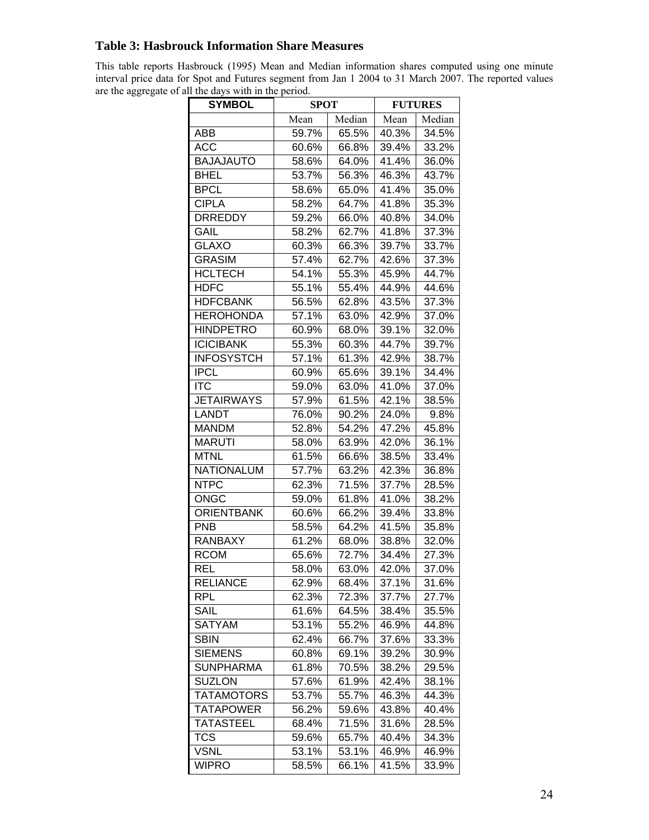# **Table 3: Hasbrouck Information Share Measures**

This table reports Hasbrouck (1995) Mean and Median information shares computed using one minute interval price data for Spot and Futures segment from Jan 1 2004 to 31 March 2007. The reported values are the aggregate of all the days with in the period.

| <b>SYMBOL</b>     | <b>SPOT</b> |        | <b>FUTURES</b> |        |  |
|-------------------|-------------|--------|----------------|--------|--|
|                   | Mean        | Median | Mean           | Median |  |
| ABB               | 59.7%       | 65.5%  | 40.3%          | 34.5%  |  |
| <b>ACC</b>        | 60.6%       | 66.8%  | 39.4%          | 33.2%  |  |
| <b>BAJAJAUTO</b>  | 58.6%       | 64.0%  | 41.4%          | 36.0%  |  |
| <b>BHEL</b>       | 53.7%       | 56.3%  | 46.3%          | 43.7%  |  |
| <b>BPCL</b>       | 58.6%       | 65.0%  | 41.4%          | 35.0%  |  |
| <b>CIPLA</b>      | 58.2%       | 64.7%  | 41.8%          | 35.3%  |  |
| <b>DRREDDY</b>    | 59.2%       | 66.0%  | 40.8%          | 34.0%  |  |
| GAIL              | 58.2%       | 62.7%  | 41.8%          | 37.3%  |  |
| <b>GLAXO</b>      | 60.3%       | 66.3%  | 39.7%          | 33.7%  |  |
| <b>GRASIM</b>     | 57.4%       | 62.7%  | 42.6%          | 37.3%  |  |
| <b>HCLTECH</b>    | 54.1%       | 55.3%  | 45.9%          | 44.7%  |  |
| <b>HDFC</b>       | 55.1%       | 55.4%  | 44.9%          | 44.6%  |  |
| <b>HDFCBANK</b>   | 56.5%       | 62.8%  | 43.5%          | 37.3%  |  |
| <b>HEROHONDA</b>  | 57.1%       | 63.0%  | 42.9%          | 37.0%  |  |
| <b>HINDPETRO</b>  | 60.9%       | 68.0%  | 39.1%          | 32.0%  |  |
| <b>ICICIBANK</b>  | 55.3%       | 60.3%  | 44.7%          | 39.7%  |  |
| <b>INFOSYSTCH</b> | 57.1%       | 61.3%  | 42.9%          | 38.7%  |  |
| <b>IPCL</b>       | 60.9%       | 65.6%  | 39.1%          | 34.4%  |  |
| <b>ITC</b>        | 59.0%       | 63.0%  | 41.0%          | 37.0%  |  |
| <b>JETAIRWAYS</b> | 57.9%       | 61.5%  | 42.1%          | 38.5%  |  |
| <b>LANDT</b>      | 76.0%       | 90.2%  | 24.0%          | 9.8%   |  |
| <b>MANDM</b>      | 52.8%       | 54.2%  | 47.2%          | 45.8%  |  |
| <b>MARUTI</b>     | 58.0%       | 63.9%  | 42.0%          | 36.1%  |  |
| <b>MTNL</b>       | 61.5%       | 66.6%  | 38.5%          | 33.4%  |  |
| <b>NATIONALUM</b> | 57.7%       | 63.2%  | 42.3%          | 36.8%  |  |
| <b>NTPC</b>       | 62.3%       | 71.5%  | 37.7%          | 28.5%  |  |
| <b>ONGC</b>       | 59.0%       | 61.8%  | 41.0%          | 38.2%  |  |
| <b>ORIENTBANK</b> | 60.6%       | 66.2%  | 39.4%          | 33.8%  |  |
| <b>PNB</b>        | 58.5%       | 64.2%  | 41.5%          | 35.8%  |  |
| <b>RANBAXY</b>    | 61.2%       | 68.0%  | 38.8%          | 32.0%  |  |
| <b>RCOM</b>       | 65.6%       | 72.7%  | 34.4%          | 27.3%  |  |
| <b>REL</b>        | 58.0%       | 63.0%  | 42.0%          | 37.0%  |  |
| <b>RELIANCE</b>   | 62.9%       | 68.4%  | 37.1%          | 31.6%  |  |
| <b>RPL</b>        | 62.3%       | 72.3%  | 37.7%          | 27.7%  |  |
| SAIL              | 61.6%       | 64.5%  | 38.4%          | 35.5%  |  |
| SATYAM            | 53.1%       | 55.2%  | 46.9%          | 44.8%  |  |
| <b>SBIN</b>       | 62.4%       | 66.7%  | 37.6%          | 33.3%  |  |
| <b>SIEMENS</b>    | 60.8%       | 69.1%  | 39.2%          | 30.9%  |  |
| <b>SUNPHARMA</b>  | 61.8%       | 70.5%  | 38.2%          | 29.5%  |  |
| <b>SUZLON</b>     | 57.6%       | 61.9%  | 42.4%          | 38.1%  |  |
| <b>TATAMOTORS</b> | 53.7%       | 55.7%  | 46.3%          | 44.3%  |  |
| <b>TATAPOWER</b>  | 56.2%       | 59.6%  | 43.8%          | 40.4%  |  |
| <b>TATASTEEL</b>  | 68.4%       | 71.5%  | 31.6%          | 28.5%  |  |
| <b>TCS</b>        | 59.6%       | 65.7%  | 40.4%          | 34.3%  |  |
| <b>VSNL</b>       | 53.1%       | 53.1%  | 46.9%          | 46.9%  |  |
| <b>WIPRO</b>      | 58.5%       | 66.1%  | 41.5%          | 33.9%  |  |